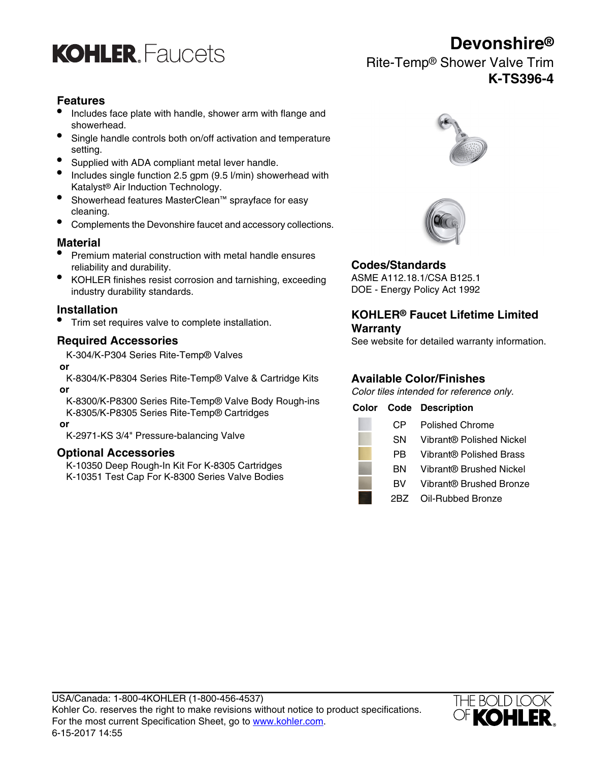

### **Features**

- Includes face plate with handle, shower arm with flange and showerhead.
- Single handle controls both on/off activation and temperature setting.
- Supplied with ADA compliant metal lever handle.
- Includes single function 2.5 gpm (9.5 l/min) showerhead with Katalyst® Air Induction Technology.
- Showerhead features MasterClean™ sprayface for easy cleaning.
- Complements the Devonshire faucet and accessory collections.

### **Material**

- Premium material construction with metal handle ensures reliability and durability.<br> **Codes/Standards**<br> **CODES/Standards**<br> **CODES/Standards**<br> **CODES/Standards**
- KOHLER finishes resist corrosion and tarnishing, exceeding ASME A112.18.1/CSA B125.1 industry durability standards.

• Trim set requires valve to complete installation.

### **Required Accessories**

K-304/K-P304 Series Rite-Temp® Valves

#### **or**

K-8304/K-P8304 Series Rite-Temp® Valve & Cartridge Kits  **or**

K-8300/K-P8300 Series Rite-Temp® Valve Body Rough-ins K-8305/K-P8305 Series Rite-Temp® Cartridges

#### **Optional Accessories**





### **Installation KOHLER® Faucet Lifetime Limited Warranty**

See website for detailed warranty information.

### **Available Color/Finishes**

Color tiles intended for reference only.

#### **Color Code Description**

| or                                                                                                                                | C <sub>P</sub> | <b>Polished Chrome</b>              |
|-----------------------------------------------------------------------------------------------------------------------------------|----------------|-------------------------------------|
| K-2971-KS 3/4" Pressure-balancing Valve                                                                                           | <b>SN</b>      | Vibrant® Polished Nickel            |
| <b>Optional Accessories</b><br>K-10350 Deep Rough-In Kit For K-8305 Cartridges<br>K-10351 Test Cap For K-8300 Series Valve Bodies | PB.            | Vibrant® Polished Brass             |
|                                                                                                                                   | BN             | Vibrant <sup>®</sup> Brushed Nickel |
|                                                                                                                                   | <b>BV</b>      | Vibrant® Brushed Bronze             |
|                                                                                                                                   | 2BZ.           | Oil-Rubbed Bronze                   |



## **Devonshire®**

Rite-Temp® Shower Valve Trim **K-TS396-4**